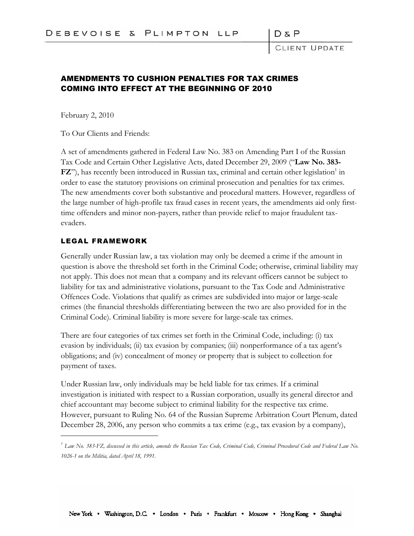$D \& F$ 

LIENT UPDATE

## AMENDMENTS TO CUSHION PENALTIES FOR TAX CRIMES COMING INTO EFFECT AT THE BEGINNING OF 2010

February 2, 2010

To Our Clients and Friends:

A set of amendments gathered in Federal Law No. 383 on Amending Part I of the Russian Tax Code and Certain Other Legislative Acts, dated December 29, 2009 ("**Law No. 383-** FZ"), has recently been introduced in Russian tax, criminal and certain other legislation<sup>1</sup> in order to ease the statutory provisions on criminal prosecution and penalties for tax crimes. The new amendments cover both substantive and procedural matters. However, regardless of the large number of high-profile tax fraud cases in recent years, the amendments aid only firsttime offenders and minor non-payers, rather than provide relief to major fraudulent taxevaders.

## LEGAL FRAMEWORK

Generally under Russian law, a tax violation may only be deemed a crime if the amount in question is above the threshold set forth in the Criminal Code; otherwise, criminal liability may not apply. This does not mean that a company and its relevant officers cannot be subject to liability for tax and administrative violations, pursuant to the Tax Code and Administrative Offences Code. Violations that qualify as crimes are subdivided into major or large-scale crimes (the financial thresholds differentiating between the two are also provided for in the Criminal Code). Criminal liability is more severe for large-scale tax crimes.

There are four categories of tax crimes set forth in the Criminal Code, including: (i) tax evasion by individuals; (ii) tax evasion by companies; (iii) nonperformance of a tax agent's obligations; and (iv) concealment of money or property that is subject to collection for payment of taxes.

Under Russian law, only individuals may be held liable for tax crimes. If a criminal investigation is initiated with respect to a Russian corporation, usually its general director and chief accountant may become subject to criminal liability for the respective tax crime. However, pursuant to Ruling No. 64 of the Russian Supreme Arbitration Court Plenum, dated December 28, 2006, any person who commits a tax crime (e.g., tax evasion by a company),

*<sup>1</sup> Law No. 383-FZ, discussed in this article, amends the Russian Tax Code, Criminal Code, Criminal Procedural Code and Federal Law No. 1026-1 on the Militia, dated April 18, 1991.*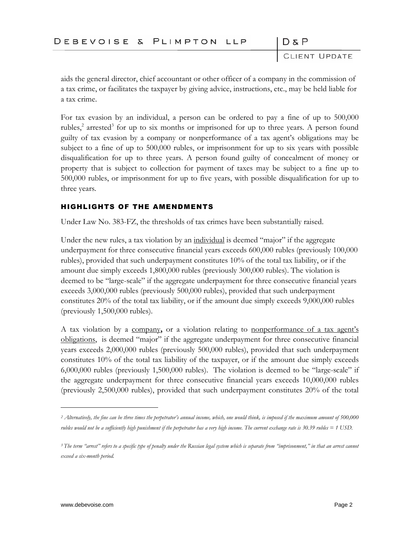| DEBEVOISE & PLIMPTON LLP |  |  | $D \& P$ |
|--------------------------|--|--|----------|
|--------------------------|--|--|----------|

CLIENT UPDATE

aids the general director, chief accountant or other officer of a company in the commission of a tax crime, or facilitates the taxpayer by giving advice, instructions, etc., may be held liable for a tax crime.

For tax evasion by an individual, a person can be ordered to pay a fine of up to 500,000 rubles,<sup>2</sup> arrested<sup>3</sup> for up to six months or imprisoned for up to three years. A person found guilty of tax evasion by a company or nonperformance of a tax agent's obligations may be subject to a fine of up to 500,000 rubles, or imprisonment for up to six years with possible disqualification for up to three years. A person found guilty of concealment of money or property that is subject to collection for payment of taxes may be subject to a fine up to 500,000 rubles, or imprisonment for up to five years, with possible disqualification for up to three years.

## HIGHLIGHTS OF THE AMENDMENTS

Under Law No. 383-FZ, the thresholds of tax crimes have been substantially raised.

Under the new rules, a tax violation by an <u>individual</u> is deemed "major" if the aggregate underpayment for three consecutive financial years exceeds 600,000 rubles (previously 100,000 rubles), provided that such underpayment constitutes 10% of the total tax liability, or if the amount due simply exceeds 1,800,000 rubles (previously 300,000 rubles). The violation is deemed to be "large-scale" if the aggregate underpayment for three consecutive financial years exceeds 3,000,000 rubles (previously 500,000 rubles), provided that such underpayment constitutes 20% of the total tax liability, or if the amount due simply exceeds 9,000,000 rubles (previously 1,500,000 rubles).

A tax violation by a company**,** or a violation relating to nonperformance of a tax agent's obligations, is deemed "major" if the aggregate underpayment for three consecutive financial years exceeds 2,000,000 rubles (previously 500,000 rubles), provided that such underpayment constitutes 10% of the total tax liability of the taxpayer, or if the amount due simply exceeds 6,000,000 rubles (previously 1,500,000 rubles). The violation is deemed to be "large-scale" if the aggregate underpayment for three consecutive financial years exceeds 10,000,000 rubles (previously 2,500,000 rubles), provided that such underpayment constitutes 20% of the total

*<sup>2</sup> Alternatively, the fine can be three times the perpetrator's annual income, which, one would think, is imposed if the maximum amount of 500,000 rubles would not be a sufficiently high punishment if the perpetrator has a very high income. The current exchange rate is 30.39 rubles = 1 USD.*

*<sup>3</sup> The term "arrest" refers to a specific type of penalty under the Russian legal system which is separate from "imprisonment," in that an arrest cannot exceed a six-month period.*